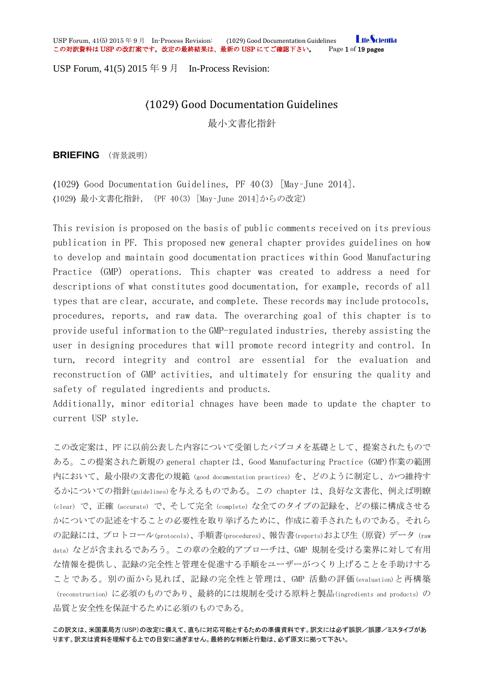**LifeScientia** USP Forum, 41(5) 2015 年 9 月 In-Process Revision: (1029) Good Documentation Guidelines <mark>Life Scie</mark><br>この対訳資料は **USP** の改訂案です。改定の最終結果は、最新の USP にてご確認下さい。 Page 1 of 19 pages この対訳資料は USP の改訂案です。改定の最終結果は、最新の USP にてご確認下さい。

USP Forum,  $41(5)$  2015  $\oplus$  9  $\uparrow$  In-Process Revision:

# 〈1029〉 Good Documentation Guidelines 最小文書化指針

**BRIEFING** (背景説明)

〈1029〉 Good Documentation Guidelines, PF 40(3) [May–June 2014]. 〈1029〉 最小文書化指針,(PF 40(3) [May–June 2014]からの改定)

This revision is proposed on the basis of public comments received on its previous publication in PF. This proposed new general chapter provides guidelines on how to develop and maintain good documentation practices within Good Manufacturing Practice (GMP) operations. This chapter was created to address a need for descriptions of what constitutes good documentation, for example, records of all types that are clear, accurate, and complete. These records may include protocols, procedures, reports, and raw data. The overarching goal of this chapter is to provide useful information to the GMP-regulated industries, thereby assisting the user in designing procedures that will promote record integrity and control. In turn, record integrity and control are essential for the evaluation and reconstruction of GMP activities, and ultimately for ensuring the quality and safety of regulated ingredients and products.

Additionally, minor editorial chnages have been made to update the chapter to current USP style.

この改定案は、PF に以前公表した内容について受領したパブコメを基礎として、提案されたもので ある。この提案された新規の general chapter は、Good Manufacturing Practice (GMP)作業の範囲 内において、最小限の文書化の規範(good documentation practices)を、どのように制定し、かつ維持す るかについての指針(guidelines)を与えるものである。この chapter は、良好な文書化、例えば明瞭 (clear) で、正確 (accurate) で、そして完全(complete)な全てのタイプの記録を、どの様に構成させる かについての記述をすることの必要性を取り挙げるために、作成に着手されたものである。それら の記録には、プロトコール(protocols)、手順書(procedures)、報告書(reports)および生(原資)データ(raw data)などが含まれるであろう。この章の全般的アプローチは、GMP 規制を受ける業界に対して有用 な情報を提供し、記録の完全性と管理を促進する手順をユーザーがつくり上げることを手助けする ことである。別の面から見れば、記録の完全性と管理は、GMP 活動の評価(evaluation)と再構築 (reconstruction)に必須のものであり、最終的には規制を受ける原料と製品(ingredients and products) の 品質と安全性を保証するために必須のものである。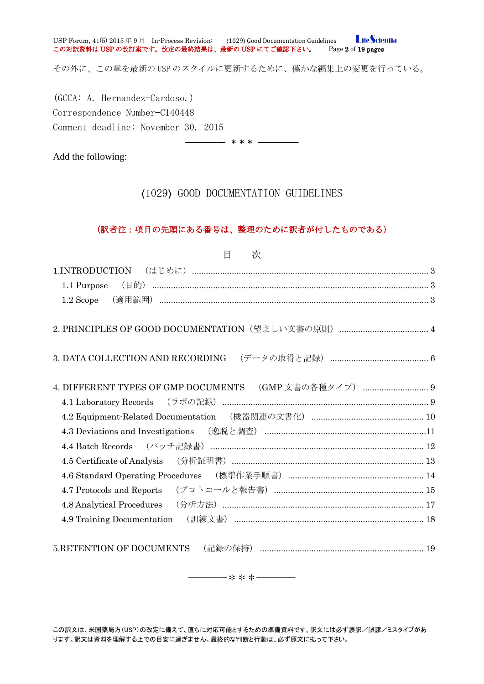**LifeScientia** USP Forum, 41(5) 2015 年 9 月 In-Process Revision: 〈1029〉 Good Documentation Guidelines この対訳資料は USP の改訂案です。改定の最終結果は、最新の USP にてご確認下さい。 Page 2 of 19 pages

その外に、この章を最新の USP のスタイルに更新するために、僅かな編集上の変更を行っている。

(GCCA: A. Hernandez-Cardoso.) Correspondence Number—C140448 Comment deadline: November 30, 2015

Add the following:

〈1029〉 GOOD DOCUMENTATION GUIDELINES

――――― \*\*\* ―――――

### (訳者注:項目の先頭にある番号は、整理のために訳者が付したものである)

| 目<br>次                                                              |
|---------------------------------------------------------------------|
|                                                                     |
| 1.1 Purpose                                                         |
| $1.2$ Scope                                                         |
|                                                                     |
|                                                                     |
| 4. DIFFERENT TYPES OF GMP DOCUMENTS (GMP 文書の各種タイプ)  9               |
|                                                                     |
| 4.2 Equipment-Related Documentation (機器関連の文書化) …………………………………………… 10 |
|                                                                     |
| 4.4 Batch Records (バッチ記録書) ……………………………………………………………………………… 12        |
|                                                                     |
|                                                                     |
|                                                                     |
|                                                                     |
| 4.9 Training Documentation (訓練文書) …………………………………………………………………… 18     |
| 5.RETENTION OF DOCUMENTS                                            |

――――\*\*\*――――

この訳文は、米国薬局方(USP)の改定に備えて、直ちに対応可能とするための準備資料です。訳文には必ず誤訳/誤謬/ミスタイプがあ ります。訳文は資料を理解する上での目安に過ぎません。最終的な判断と行動は、必ず原文に拠って下さい。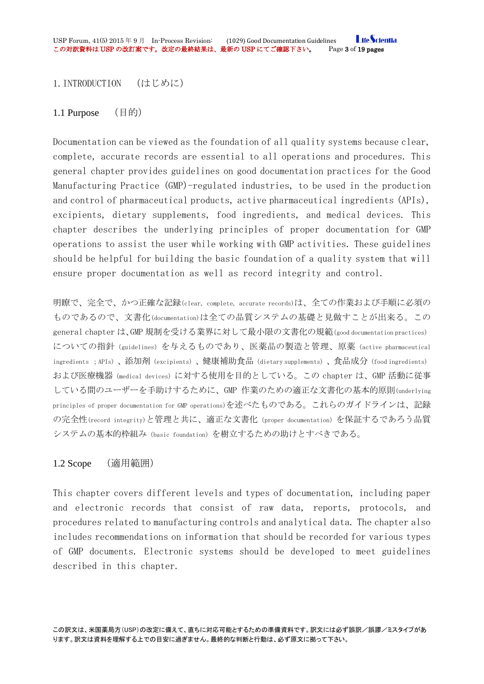<span id="page-2-0"></span>1.INTRODUCTION (はじめに)

<span id="page-2-1"></span>1.1 Purpose (目的)

Documentation can be viewed as the foundation of all quality systems because clear, complete, accurate records are essential to all operations and procedures. This general chapter provides guidelines on good documentation practices for the Good Manufacturing Practice (GMP)-regulated industries, to be used in the production and control of pharmaceutical products, active pharmaceutical ingredients (APIs), excipients, dietary supplements, food ingredients, and medical devices. This chapter describes the underlying principles of proper documentation for GMP operations to assist the user while working with GMP activities. These guidelines should be helpful for building the basic foundation of a quality system that will ensure proper documentation as well as record integrity and control.

明瞭で、完全で、かつ正確な記録(clear, complete, accurate records)は、全ての作業および手順に必須の ものであるので、文書化(documentation)は全ての品質システムの基礎と見做すことが出来る。この general chapter は、GMP 規制を受ける業界に対して最小限の文書化の規範(good documentation practices) についての指針 (guidelines) を与えるものであり、医薬品の製造と管理、原薬 (active pharmaceutical ingredients ;APIs)、添加剤(excipients)、健康補助食品(dietary supplements)、食品成分(food ingredients) および医療機器(medical devices)に対する使用を目的としている。この chapter は、GMP 活動に従事 している間のユーザーを手助けするために、GMP 作業のための適正な文書化の基本的原則(underlying principles of proper documentation for GMP operations)を述べたものである。これらのガイドラインは、記録 の完全性(record integrity)と管理と共に、適正な文書化(proper documentation)を保証するであろう品質 システムの基本的枠組み(basic foundation)を樹立するための助けとすべきである。

# <span id="page-2-2"></span>1.2 Scope (適用範囲)

This chapter covers different levels and types of documentation, including paper and electronic records that consist of raw data, reports, protocols, and procedures related to manufacturing controls and analytical data. The chapter also includes recommendations on information that should be recorded for various types of GMP documents. Electronic systems should be developed to meet guidelines described in this chapter.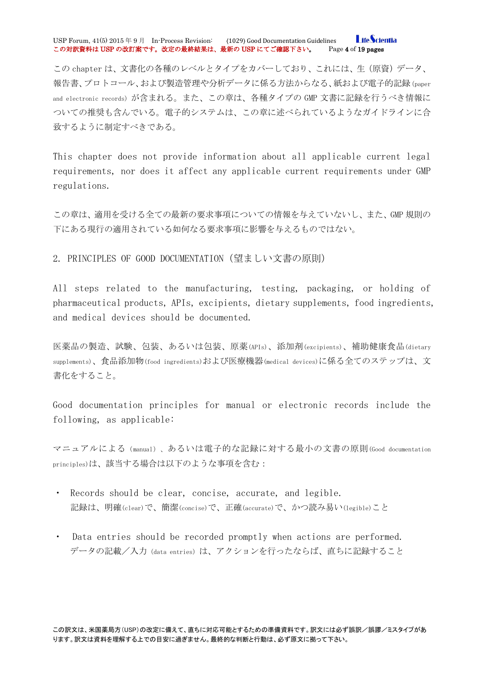#### **LifeScientia** USP Forum, 41(5) 2015 年 9 月 In-Process Revision: (1029) Good Documentation Guidelines <mark>Life Scie</mark><br>この対訳資料は USP の改訂案です。改定の最終結果は、最新の USP にてご確認下さい。 Page 4 of 19 pages この対訳資料は USP の改訂案です。改定の最終結果は、最新の USP にてご確認下さい。

この chapter は、文書化の各種のレベルとタイプをカバーしており、これには、生(原資)データ、 報告書、プロトコール、および製造管理や分析データに係る方法からなる、紙および電子的記録(paper and electronic records)が含まれる。また、この章は、各種タイプの GMP 文書に記録を行うべき情報に ついての推奨も含んでいる。電子的システムは、この章に述べられているようなガイドラインに合 致するように制定すべきである。

This chapter does not provide information about all applicable current legal requirements, nor does it affect any applicable current requirements under GMP regulations.

この章は、適用を受ける全ての最新の要求事項についての情報を与えていないし、また、GMP 規則の 下にある現行の適用されている如何なる要求事項に影響を与えるものではない。

<span id="page-3-0"></span>2. PRINCIPLES OF GOOD DOCUMENTATION (望ましい文書の原則)

All steps related to the manufacturing, testing, packaging, or holding of pharmaceutical products, APIs, excipients, dietary supplements, food ingredients, and medical devices should be documented.

医薬品の製造、試験、包装、あるいは包装、原薬(APIs)、添加剤(excipients)、補助健康食品(dietary supplements)、食品添加物(food ingredients)および医療機器(medical devices)に係る全てのステップは、文 書化をすること。

Good documentation principles for manual or electronic records include the following, as applicable:

マニュアルによる(manual)、あるいは電子的な記録に対する最小の文書の原則(Good documentation principles)は、該当する場合は以下のような事項を含む:

- ・ Records should be clear, concise, accurate, and legible. 記録は、明確(clear)で、簡潔(concise)で、正確(accurate)で、かつ読み易い(legible)こと
- Data entries should be recorded promptly when actions are performed. データの記載/入力(data entries)は、アクションを行ったならば、直ちに記録すること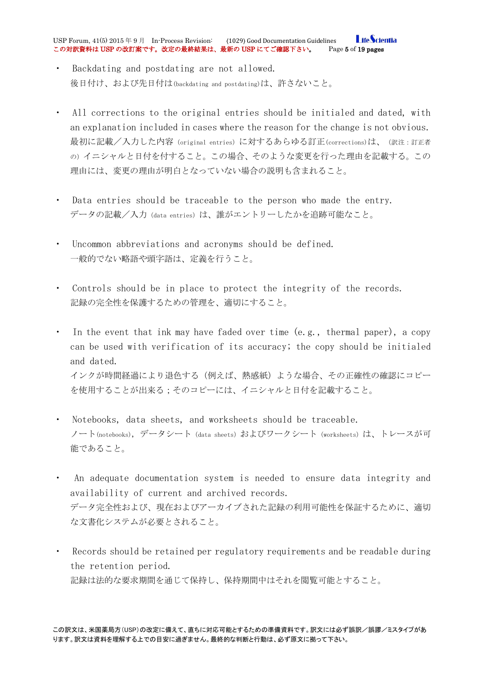**LifeScientia** USP Forum, 41(5) 2015 年 9 月 In-Process Revision: (1029) Good Documentation Guidelines <mark>Life Scie</mark><br>この対訳資料は **USP** の改訂案です。改定の最終結果は、最新の USP にてご確認下さい。 Page 5 of 19 pages この対訳資料は USP の改訂案です。改定の最終結果は、最新の USP にてご確認下さい。

- Backdating and postdating are not allowed. 後日付け、および先日付は(backdating and postdating)は、許さないこと。
- ・ All corrections to the original entries should be initialed and dated, with an explanation included in cases where the reason for the change is not obvious. 最初に記載/入力した内容(original entries)に対するあらゆる訂正(corrections)は、(訳注:訂正者 の)イニシャルと日付を付すること。この場合、そのような変更を行った理由を記載する。この 理由には、変更の理由が明白となっていない場合の説明も含まれること。
- Data entries should be traceable to the person who made the entry. データの記載/入力(data entries)は、誰がエントリーしたかを追跡可能なこと。
- Uncommon abbreviations and acronyms should be defined. 一般的でない略語や頭字語は、定義を行うこと。
- ・ Controls should be in place to protect the integrity of the records. 記録の完全性を保護するための管理を、適切にすること。
- ・ In the event that ink may have faded over time (e.g., thermal paper), a copy can be used with verification of its accuracy; the copy should be initialed and dated. インクが時間経過により退色する(例えば、熱感紙)ような場合、その正確性の確認にコピー を使用することが出来る;そのコピーには、イニシャルと日付を記載すること。
- Notebooks, data sheets, and worksheets should be traceable. ノート(notebooks), データシート(data sheets)およびワークシート(worksheets)は、トレースが可 能であること。
- An adequate documentation system is needed to ensure data integrity and availability of current and archived records. データ完全性および、現在およびアーカイブされた記録の利用可能性を保証するために、適切 な文書化システムが必要とされること。
- Records should be retained per regulatory requirements and be readable during the retention period. 記録は法的な要求期間を通じて保持し、保持期間中はそれを閲覧可能とすること。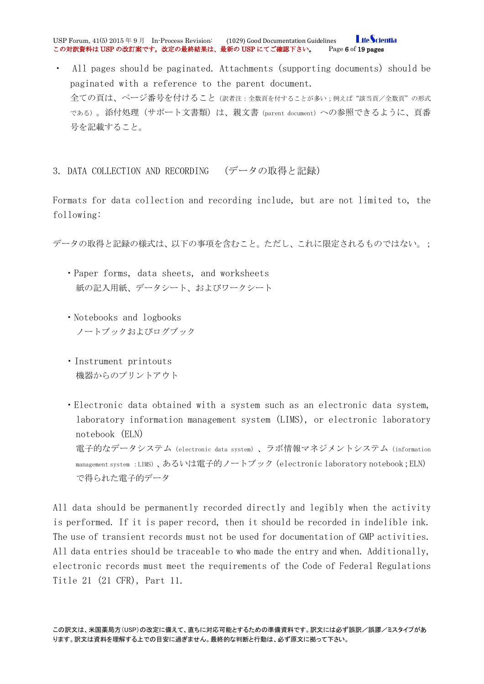**I** ifeScientia USP Forum, 41(5) 2015 年 9 月 In-Process Revision: (1029) Good Documentation Guidelines <mark>Life Scie</mark><br>この対訳資料は USP の改訂案です。改定の最終結果は、最新の USP にてご確認下さい。 Page 6 of 19 pages この対訳資料は USP の改訂案です。改定の最終結果は、最新の USP にてご確認下さい。

・ All pages should be paginated. Attachments (supporting documents) should be paginated with a reference to the parent document. 全ての頁は、ページ番号を付けること(訳者注:全数頁を付することが多い;例えば"該当頁/全数頁"の形式 である)。添付処理(サポート文書類)は、親文書(parent document)への参照できるように、頁番 号を記載すること。

<span id="page-5-0"></span>3. DATA COLLECTION AND RECORDING (データの取得と記録)

Formats for data collection and recording include, but are not limited to, the following:

データの取得と記録の様式は、以下の事項を含むこと。ただし、これに限定されるものではない。;

- ・Paper forms, data sheets, and worksheets 紙の記入用紙、データシート、およびワークシート
- ・Notebooks and logbooks ノートブックおよびログブック
- ・Instrument printouts 機器からのプリントアウト

・Electronic data obtained with a system such as an electronic data system, laboratory information management system (LIMS), or electronic laboratory notebook (ELN) 電子的なデータシステム (electronic data system)、ラボ情報マネジメントシステム (information management system :LIMS)、あるいは電子的ノートブック(electronic laboratory notebook;ELN) で得られた電子的データ

All data should be permanently recorded directly and legibly when the activity is performed. If it is paper record, then it should be recorded in indelible ink. The use of transient records must not be used for documentation of GMP activities. All data entries should be traceable to who made the entry and when. Additionally, electronic records must meet the requirements of the Code of Federal Regulations Title 21 (21 CFR), Part 11.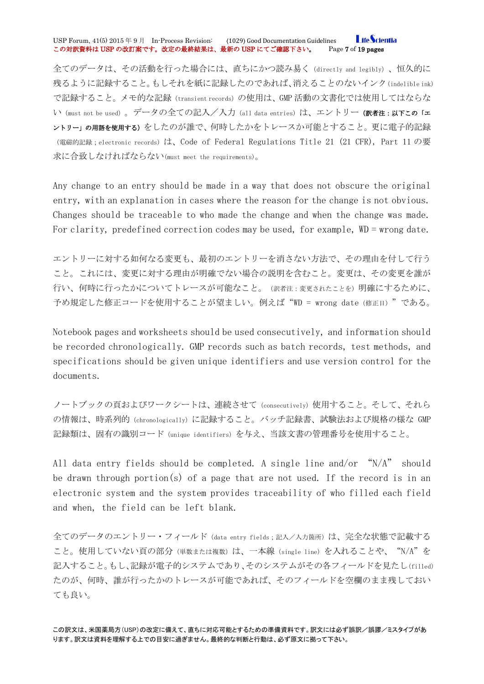#### **LifeScientia** USP Forum, 41(5) 2015 年 9 月 In-Process Revision: (1029) Good Documentation Guidelines <mark>Life Scie</mark><br>この対訳資料は **USP** の改訂案です。改定の最終結果は、最新の USP にてご確認下さい。 Page 7 of 19 pages この対訳資料は USP の改訂案です。改定の最終結果は、最新の USP にてご確認下さい。

全てのデータは、その活動を行った場合には、直ちにかつ読み易く(directly and legibly)、恒久的に 残るように記録すること。もしそれを紙に記録したのであれば、消えることのないインク(indelible ink) で記録すること。メモ的な記録(transient records)の使用は、GMP 活動の文書化では使用してはならな い (must not be used)。データの全ての記入/入力 (all data entries) は、エントリー (訳者注:以下この「エ ントリー」の用語を使用する)をしたのが誰で、何時したかをトレースか可能とすること。更に電子的記録 (電磁的記録;electronic records)は、Code of Federal Regulations Title 21 (21 CFR), Part 11 の要 求に合致しなければならない(must meet the requirements)。

Any change to an entry should be made in a way that does not obscure the original entry, with an explanation in cases where the reason for the change is not obvious. Changes should be traceable to who made the change and when the change was made. For clarity, predefined correction codes may be used, for example, WD = wrong date.

エントリーに対する如何なる変更も、最初のエントリーを消さない方法で、その理由を付して行う こと。これには、変更に対する理由が明確でない場合の説明を含むこと。変更は、その変更を誰が 行い、何時に行ったかについてトレースが可能なこと。(訳者注:変更されたことを)明確にするために、 予め規定した修正コードを使用することが望ましい。例えば"WD = wrong date(修正日)"である。

Notebook pages and worksheets should be used consecutively, and information should be recorded chronologically. GMP records such as batch records, test methods, and specifications should be given unique identifiers and use version control for the documents.

ノートブックの頁およびワークシートは、連続させて(consecutively)使用すること。そして、それら の情報は、時系列的 (chronologically) に記録すること。バッチ記録書、試験法および規格の様な GMP 記録類は、固有の識別コード(unique identifiers)を与え、当該文書の管理番号を使用すること。

All data entry fields should be completed. A single line and/or "N/A" should be drawn through portion(s) of a page that are not used. If the record is in an electronic system and the system provides traceability of who filled each field and when, the field can be left blank.

全てのデータのエントリー・フィールド(data entry fields;記入/入力箇所)は、完全な状態で記載する こと。使用していない頁の部分(単数または複数)は、一本線(single line)を入れることや、 "N/A"を 記入すること。もし、記録が電子的システムであり、そのシステムがその各フィールドを見たし(filled) たのが、何時、誰が行ったかのトレースが可能であれば、そのフィールドを空欄のまま残しておい ても良い。

この訳文は、米国薬局方(USP)の改定に備えて、直ちに対応可能とするための準備資料です。訳文には必ず誤訳/誤謬/ミスタイプがあ ります。訳文は資料を理解する上での目安に過ぎません。最終的な判断と行動は、必ず原文に拠って下さい。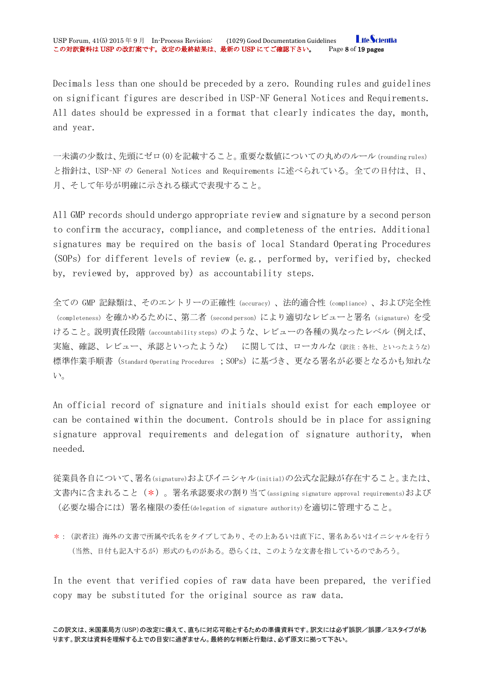Decimals less than one should be preceded by a zero. Rounding rules and guidelines on significant figures are described in USP–NF General Notices and Requirements. All dates should be expressed in a format that clearly indicates the day, month, and year.

一未満の少数は、先頭にゼロ(0)を記載すること。重要な数値についての丸めのルール(rounding rules) と指針は、USP–NF の General Notices and Requirements に述べられている。全ての日付は、日、 月、そして年号が明確に示される様式で表現すること。

All GMP records should undergo appropriate review and signature by a second person to confirm the accuracy, compliance, and completeness of the entries. Additional signatures may be required on the basis of local Standard Operating Procedures (SOPs) for different levels of review (e.g., performed by, verified by, checked by, reviewed by, approved by) as accountability steps.

全ての GMP 記録類は、そのエントリーの正確性(accuracy)、法的適合性(compliance)、および完全性 (completeness) を確かめるために、第二者 (second person) により適切なレビューと署名 (signature) を受 けること。説明責任段階(accountability steps)のような、レビューの各種の異なったレベル(例えば、 実施、確認、レビュー、承認といったような) に関しては、ローカルな(訳注:各社、といったような) 標準作業手順書(Standard Operating Procedures ;SOPs)に基づき、更なる署名が必要となるかも知れな い。

An official record of signature and initials should exist for each employee or can be contained within the document. Controls should be in place for assigning signature approval requirements and delegation of signature authority, when needed.

従業員各自について、署名(signature)およびイニシャル(initial)の公式な記録が存在すること。または、 文書内に含まれること(\*)。署名承認要求の割り当て(assigning signature approval requirements)および (必要な場合には)署名権限の委任(delegation of signature authority)を適切に管理すること。

\*:(訳者注)海外の文書で所属や氏名をタイプしてあり、その上あるいは直下に、署名あるいはイニシャルを行う (当然、日付も記入するが)形式のものがある。恐らくは、このような文書を指しているのであろう。

In the event that verified copies of raw data have been prepared, the verified copy may be substituted for the original source as raw data.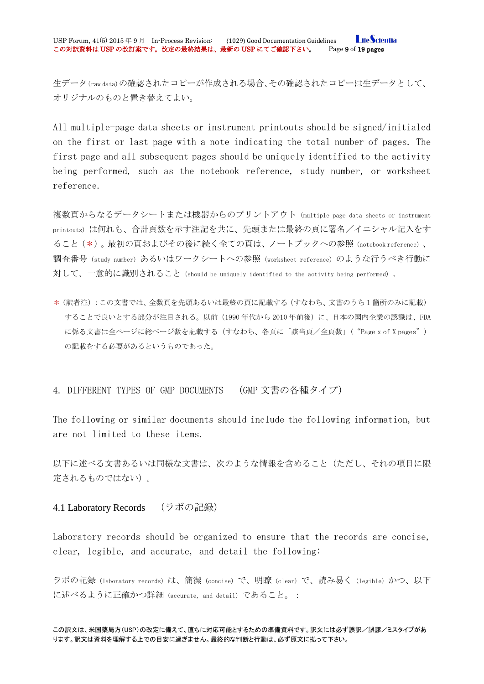生データ(raw data)の確認されたコピーが作成される場合、その確認されたコピーは生データとして、 オリジナルのものと置き替えてよい。

All multiple-page data sheets or instrument printouts should be signed/initialed on the first or last page with a note indicating the total number of pages. The first page and all subsequent pages should be uniquely identified to the activity being performed, such as the notebook reference, study number, or worksheet reference.

複数頁からなるデータシートまたは機器からのプリントアウト(multiple-page data sheets or instrument printouts)は何れも、合計頁数を示す注記を共に、先頭または最終の頁に署名/イニシャル記入をす ること(\*)。最初の頁およびその後に続く全ての頁は、ノートブックへの参照(notebook reference)、 調査番号(study number)あるいはワークシートへの参照(worksheet reference)のような行うべき行動に 対して、一意的に識別されること(should be uniquely identified to the activity being performed)。

\*(訳者注):この文書では、全数頁を先頭あるいは最終の頁に記載する(すなわち、文書のうち1箇所のみに記載) することで良いとする部分が注目される。以前(1990年代から 2010 年前後)に、日本の国内企業の認識は、FDA に係る文書は全ページに総ページ数を記載する(すなわち、各頁に「該当頁/全頁数」( "Page x of X pages") の記載をする必要があるというものであった。

<span id="page-8-0"></span>4. DIFFERENT TYPES OF GMP DOCUMENTS (GMP 文書の各種タイプ)

The following or similar documents should include the following information, but are not limited to these items.

以下に述べる文書あるいは同様な文書は、次のような情報を含めること(ただし、それの項目に限 定されるものではない)。

#### <span id="page-8-1"></span>4.1 Laboratory Records (ラボの記録)

Laboratory records should be organized to ensure that the records are concise, clear, legible, and accurate, and detail the following:

ラボの記録(laboratory records)は、簡潔(concise)で、明瞭(clear)で、読み易く(legible)かつ、以下 に述べるように正確かつ詳細(accurate, and detail)であること。: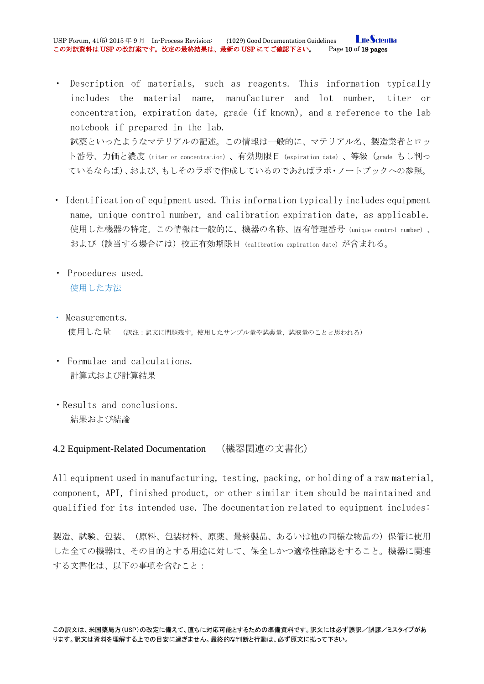**I** ifeScientia USP Forum, 41(5) 2015年9月 In-Process Revision: (1029) Good Documentation Guidelines Life Scien<br>この対訳資料は USP の改訂案です。改定の最終結果は、最新の USP にてご確認下さい。 Page 10 of 19 pages この対訳資料は USP の改訂案です。改定の最終結果は、最新の USP にてご確認下さい。

- Description of materials, such as reagents. This information typically includes the material name, manufacturer and lot number, titer or concentration, expiration date, grade (if known), and a reference to the lab notebook if prepared in the lab. 試薬といったようなマテリアルの記述。この情報は一般的に、マテリアル名、製造業者とロッ ト番号、力価と濃度(titer or concentration)、有効期限日(expiration date)、等級(grade もし判っ ているならば)、および、もしそのラボで作成しているのであればラボ・ノートブックへの参照。
- ・ Identification of equipment used. This information typically includes equipment name, unique control number, and calibration expiration date, as applicable. 使用した機器の特定。この情報は一般的に、機器の名称、固有管理番号(unique control number)、 および (該当する場合には)校正有効期限日 (calibration expiration date)が含まれる。
- ・ Procedures used. 使用した方法
- ・ Measurements. 使用した量 (訳注:訳文に問題残す。使用したサンプル量や試薬量、試液量のことと思われる)
- ・ Formulae and calculations. 計算式および計算結果
- ・Results and conclusions. 結果および結論

<span id="page-9-0"></span>4.2 Equipment-Related Documentation (機器関連の文書化)

All equipment used in manufacturing, testing, packing, or holding of a raw material, component, API, finished product, or other similar item should be maintained and qualified for its intended use. The documentation related to equipment includes:

製造、試験、包装、(原料、包装材料、原薬、最終製品、あるいは他の同様な物品の)保管に使用 した全ての機器は、その目的とする用途に対して、保全しかつ適格性確認をすること。機器に関連 する文書化は、以下の事項を含むこと: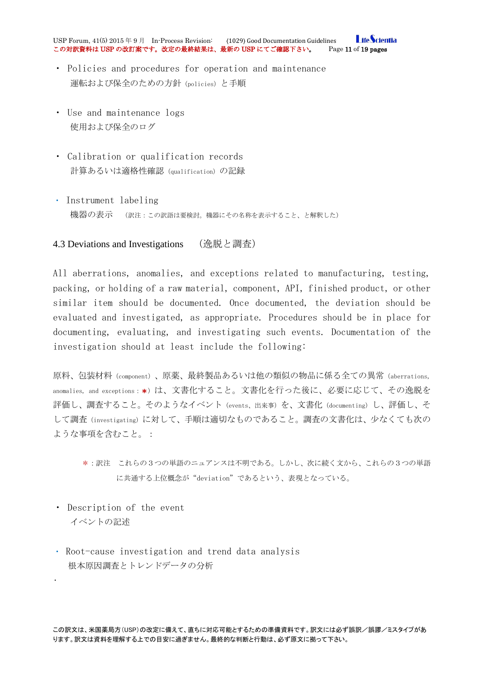**I** ifeScientia USP Forum, 41(5) 2015年9月 In-Process Revision: (1029) Good Documentation Guidelines Life Scien<br>この対訳資料は USP の改訂案です。改定の最終結果は、最新の USP にてご確認下さい。 Page 11 of 19 pages この対訳資料は USP の改訂案です。改定の最終結果は、最新の USP にてご確認下さい。

- ・ Policies and procedures for operation and maintenance 運転および保全のための方針(policies)と手順
- ・ Use and maintenance logs 使用および保全のログ
- ・ Calibration or qualification records 計算あるいは適格性確認 (qualification) の記録
- ・ Instrument labeling 機器の表示 (訳注:この訳語は要検討。機器にその名称を表示すること、と解釈した)

### <span id="page-10-0"></span>4.3 Deviations and Investigations (逸脱と調査)

All aberrations, anomalies, and exceptions related to manufacturing, testing, packing, or holding of a raw material, component, API, finished product, or other similar item should be documented. Once documented, the deviation should be evaluated and investigated, as appropriate. Procedures should be in place for documenting, evaluating, and investigating such events. Documentation of the investigation should at least include the following:

原料、包装材料(component)、原薬、最終製品あるいは他の類似の物品に係る全ての異常(aberrations, anomalies, and exceptions: \*)は、文書化すること。文書化を行った後に、必要に応じて、その逸脱を 評価し、調査すること。そのようなイベント(events、出来事)を、文書化(documenting)し、評価し、そ して調査(investigating)に対して、手順は適切なものであること。調査の文書化は、少なくても次の ような事項を含むこと。:

・ Description of the event イベントの記述

•

・ Root-cause investigation and trend data analysis 根本原因調査とトレンドデータの分析

<sup>\*:</sup>訳注 これらの3つの単語のニュアンスは不明である。しかし、次に続く文から、これらの3つの単語 に共通する上位概念が"deviation"であるという、表現となっている。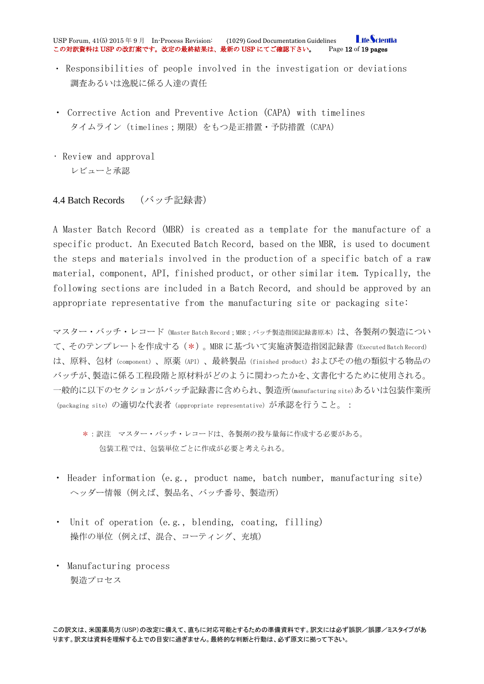**LifeScientia** USP Forum, 41(5) 2015年9月 In-Process Revision: (1029) Good Documentation Guidelines Life Scien<br>この対訳資料は USP の改訂案です。改定の最終結果は、最新の USP にてご確認下さい。 Page 12 of 19 pages この対訳資料は USP の改訂案です。改定の最終結果は、最新の USP にてご確認下さい。

- ・ Responsibilities of people involved in the investigation or deviations 調査あるいは逸脱に係る人達の責任
- ・ Corrective Action and Preventive Action (CAPA) with timelines タイムライン(timelines;期限)をもつ是正措置・予防措置(CAPA)
- Review and approval レビューと承認

# <span id="page-11-0"></span>4.4 Batch Records (バッチ記録書)

A Master Batch Record (MBR) is created as a template for the manufacture of a specific product. An Executed Batch Record, based on the MBR, is used to document the steps and materials involved in the production of a specific batch of a raw material, component, API, finished product, or other similar item. Typically, the following sections are included in a Batch Record, and should be approved by an appropriate representative from the manufacturing site or packaging site:

マスター・バッチ・レコード (Master Batch Record;MBR;バッチ製造指図記録書原本)は、各製剤の製造につい て、そのテンプレートを作成する(\*)。MBR に基づいて実施済製造指図記録書(Executed Batch Record) は、原料、包材(component)、原薬(API)、最終製品(finished product)およびその他の類似する物品の バッチが、製造に係る工程段階と原材料がどのように関わったかを、文書化するために使用される。 一般的に以下のセクションがバッチ記録書に含められ、製造所(manufacturing site)あるいは包装作業所 (packaging site)の適切な代表者 (appropriate representative) が承認を行うこと。:

- \*:訳注 マスター・バッチ・レコードは、各製剤の投与量毎に作成する必要がある。 包装工程では、包装単位ごとに作成が必要と考えられる。
- Header information (e.g., product name, batch number, manufacturing site) ヘッダー情報(例えば、製品名、バッチ番号、製造所)
- ・ Unit of operation (e.g., blending, coating, filling) 操作の単位(例えば、混合、コーティング、充填)
- ・ Manufacturing process 製造プロセス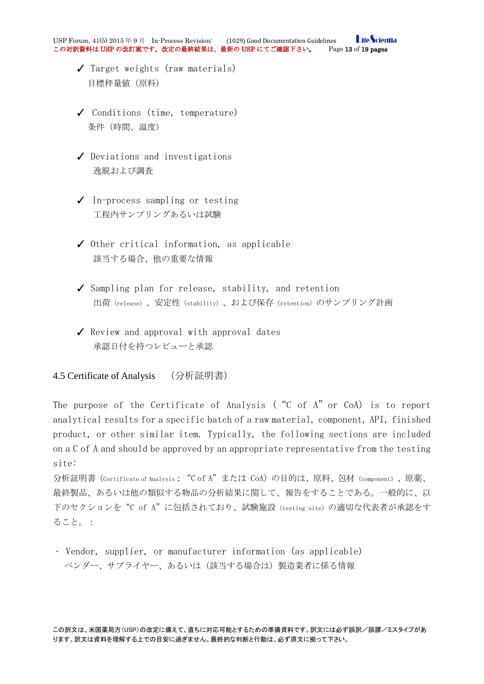- ✓ Target weights (raw materials) 目標秤量値(原料)
- ✓ Conditions (time, temperature) 条件(時間、温度)
- ✓ Deviations and investigations 逸脱および調査
- ✓ In-process sampling or testing 工程内サンプリングあるいは試験
- ✓ Other critical information, as applicable 該当する場合、他の重要な情報
- ✓ Sampling plan for release, stability, and retention 出荷(release)、安定性(stability)、および保存(retention)のサンプリング計画
- ✓ Review and approval with approval dates 承認日付を持つレビューと承認

# <span id="page-12-0"></span>4.5 Certificate of Analysis (分析証明書)

The purpose of the Certificate of Analysis ("C of A"or CoA) is to report analytical results for a specific batch of a raw material, component, API, finished product, or other similar item. Typically, the following sections are included on a C of A and should be approved by an appropriate representative from the testing site:

分析証明書(Certificate of Analysis;"C of A"または CoA)の目的は、原料、包材(component)、原薬、 最終製品、あるいは他の類似する物品の分析結果に関して、報告をすることである。一般的に、以 下のセクションを "C of A" に包括されており、試験施設 (testing site) の適切な代表者が承認をす ること。:

・ Vendor, supplier, or manufacturer information (as applicable) ベンダー、サプライヤー、あるいは(該当する場合は)製造業者に係る情報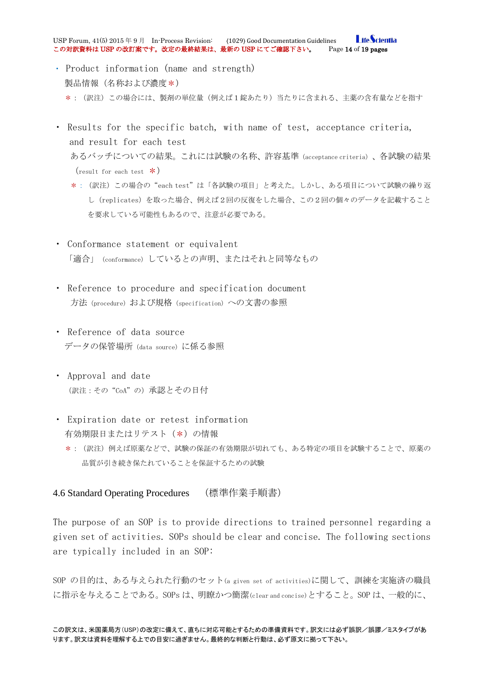**I** ifeScientia USP Forum, 41(5) 2015年9月 In-Process Revision: (1029) Good Documentation Guidelines Life Scien<br>この対訳資料は USP の改訂案です。改定の最終結果は、最新の USP にてご確認下さい。 Page 14 of 19 pages この対訳資料は USP の改訂案です。改定の最終結果は、最新の USP にてご確認下さい。

- ・ Product information (name and strength) 製品情報(名称および濃度\*) \*:(訳注)この場合には、製剤の単位量(例えば1錠あたり)当たりに含まれる、主薬の含有量などを指す
- ・ Results for the specific batch, with name of test, acceptance criteria, and result for each test あるバッチについての結果。これには試験の名称、許容基準(acceptance criteria)、各試験の結果  $(result for each test  $\ast$ )$ 
	- \*:(訳注)この場合の"each test"は「各試験の項目」と考えた。しかし、ある項目について試験の繰り返 し(replicates)を取った場合、例えば2回の反復をした場合、この2回の個々のデータを記載すること を要求している可能性もあるので、注意が必要である。
- ・ Conformance statement or equivalent 「適合」(conformance)しているとの声明、またはそれと同等なもの
- ・ Reference to procedure and specification document 方法(procedure)および規格(specification)への文書の参照
- ・ Reference of data source データの保管場所(data source)に係る参照
- ・ Approval and date (訳注:その"CoA"の)承認とその日付
- ・ Expiration date or retest information 有効期限日またはリテスト(\*)の情報
	- \*:(訳注)例えば原薬などで、試験の保証の有効期限が切れても、ある特定の項目を試験することで、原薬の 品質が引き続き保たれていることを保証するための試験

### <span id="page-13-0"></span>4.6 Standard Operating Procedures (標準作業手順書)

The purpose of an SOP is to provide directions to trained personnel regarding a given set of activities. SOPs should be clear and concise. The following sections are typically included in an SOP:

SOP の目的は、ある与えられた行動のセット(a given set of activities)に関して、訓練を実施済の職員 に指示を与えることである。SOPs は、明瞭かつ簡潔(clear and concise)とすること。SOP は、一般的に、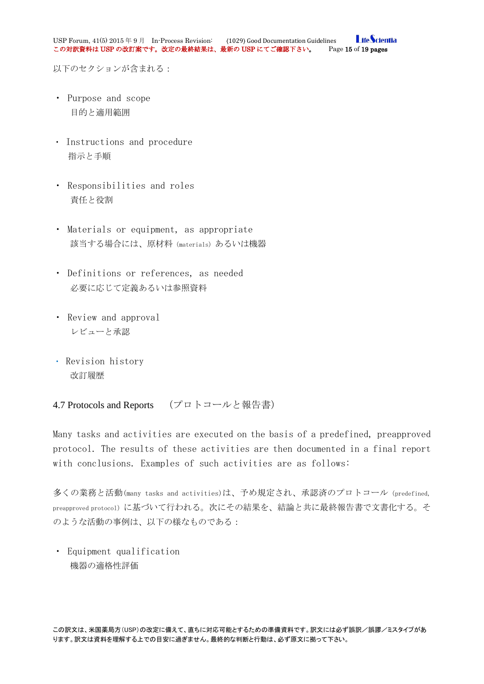以下のセクションが含まれる:

- ・ Purpose and scope 目的と適用範囲
- ・ Instructions and procedure 指示と手順
- ・ Responsibilities and roles 責任と役割
- ・ Materials or equipment, as appropriate 該当する場合には、原材料(materials)あるいは機器
- ・ Definitions or references, as needed 必要に応じて定義あるいは参照資料
- ・ Review and approval レビューと承認
- ・ Revision history 改訂履歴

# <span id="page-14-0"></span>4.7 Protocols and Reports (プロトコールと報告書)

Many tasks and activities are executed on the basis of a predefined, preapproved protocol. The results of these activities are then documented in a final report with conclusions. Examples of such activities are as follows:

多くの業務と活動(many tasks and activities)は、予め規定され、承認済のプロトコール(predefined, preapproved protocol)に基づいて行われる。次にその結果を、結論と共に最終報告書で文書化する。そ のような活動の事例は、以下の様なものである:

・ Equipment qualification 機器の適格性評価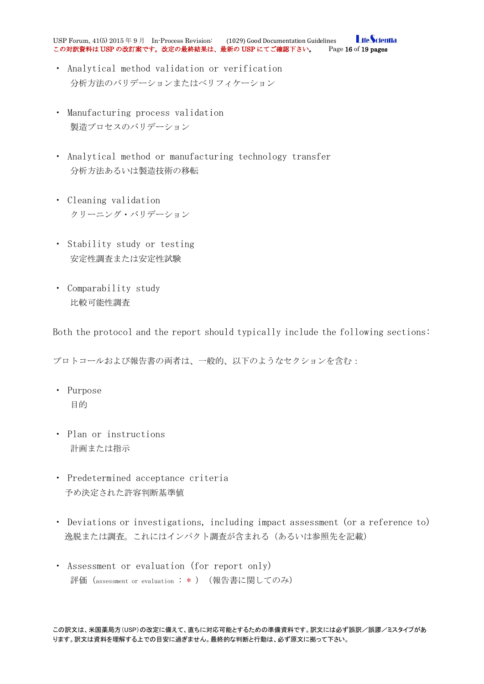**I** ifeScientia USP Forum, 41(5) 2015年9月 In-Process Revision: (1029) Good Documentation Guidelines Life Scien<br>この対訳資料は USP の改訂案です。改定の最終結果は、最新の USP にてご確認下さい。 Page 16 of 19 pages この対訳資料は USP の改訂案です。改定の最終結果は、最新の USP にてご確認下さい。

- ・ Analytical method validation or verification 分析方法のバリデーションまたはベリフィケーション
- ・ Manufacturing process validation 製造プロセスのバリデーション
- ・ Analytical method or manufacturing technology transfer 分析方法あるいは製造技術の移転
- ・ Cleaning validation クリーニング・バリデーション
- ・ Stability study or testing 安定性調査または安定性試験
- ・ Comparability study 比較可能性調査

Both the protocol and the report should typically include the following sections:

プロトコールおよび報告書の両者は、一般的、以下のようなセクションを含む:

- ・ Purpose 目的
- ・ Plan or instructions 計画または指示
- ・ Predetermined acceptance criteria 予め決定された許容判断基準値
- ・ Deviations or investigations, including impact assessment (or a reference to) 逸脱または調査。これにはインパクト調査が含まれる(あるいは参照先を記載)
- ・ Assessment or evaluation (for report only) 評価(assessment or evaluation : \* )(報告書に関してのみ)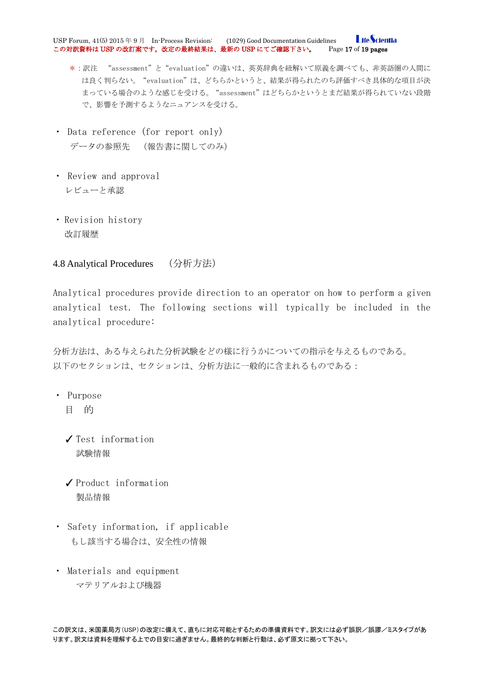**I** ifeScientia USP Forum, 41(5) 2015年9月 In-Process Revision: (1029) Good Documentation Guidelines Life Scien<br>この対訳資料は USP の改訂案です。改定の最終結果は、最新の USP にてご確認下さい。 Page 17 of 19 pages この対訳資料は USP の改訂案です。改定の最終結果は、最新の USP にてご確認下さい。

- \*:訳注 "assessment"と"evaluation"の違いは、英英辞典を紐解いて原義を調べても、非英語圏の人間に は良く判らない。"evaluation"は、どちらかというと、結果が得られたのち評価すべき具体的な項目が決 まっている場合のような感じを受ける。 "assessment" はどちらかというとまだ結果が得られていない段階 で、影響を予測するようなニュアンスを受ける。
- ・ Data reference (for report only) データの参照先 (報告書に関してのみ)
- ・ Review and approval レビューと承認
- ・ Revision history 改訂履歴

# <span id="page-16-0"></span>4.8 Analytical Procedures (分析方法)

Analytical procedures provide direction to an operator on how to perform a given analytical test. The following sections will typically be included in the analytical procedure:

分析方法は、ある与えられた分析試験をどの様に行うかについての指示を与えるものである。 以下のセクションは、セクションは、分析方法に一般的に含まれるものである:

- ・ Purpose
	- 目 的
	- ✓ Test information 試験情報
	- ✓ Product information 製品情報
- ・ Safety information, if applicable もし該当する場合は、安全性の情報
- ・ Materials and equipment マテリアルおよび機器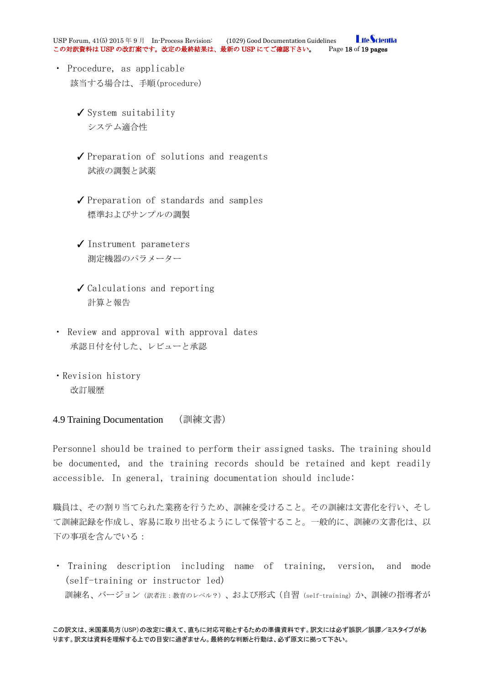**I** ifeScientia USP Forum, 41(5) 2015年9月 In-Process Revision: (1029) Good Documentation Guidelines Life Scien<br>この対訳資料は USP の改訂案です。改定の最終結果は、最新の USP にてご確認下さい。 Page 18 of 19 pages この対訳資料は USP の改訂案です。改定の最終結果は、最新の USP にてご確認下さい。

- ・ Procedure, as applicable 該当する場合は、手順(procedure)
	- ✓ System suitability システム適合性
	- ✓ Preparation of solutions and reagents 試液の調製と試薬
	- ✓ Preparation of standards and samples 標準およびサンプルの調製
	- ✓ Instrument parameters 測定機器のパラメーター
	- ✓ Calculations and reporting 計算と報告
- ・ Review and approval with approval dates 承認日付を付した、レビューと承認
- ・Revision history 改訂履歴

#### <span id="page-17-0"></span>4.9 Training Documentation (訓練文書)

Personnel should be trained to perform their assigned tasks. The training should be documented, and the training records should be retained and kept readily accessible. In general, training documentation should include:

職員は、その割り当てられた業務を行うため、訓練を受けること。その訓練は文書化を行い、そし て訓練記録を作成し、容易に取り出せるようにして保管すること。一般的に、訓練の文書化は、以 下の事項を含んでいる:

・ Training description including name of training, version, and mode (self-training or instructor led) 訓練名、バージョン(訳者注:教育のレベル?)、および形式(自習(self-training)か、訓練の指導者が